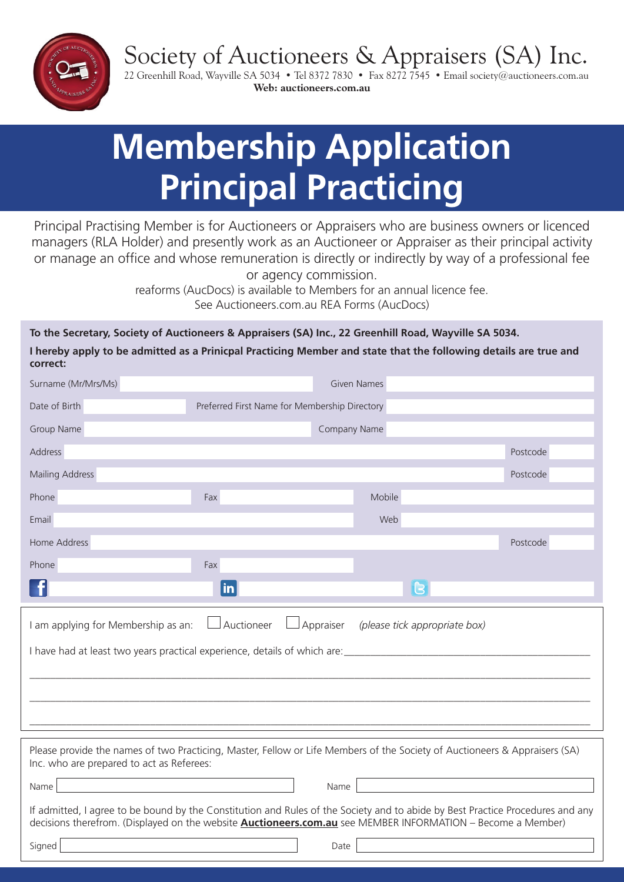Society of Auctioneers & Appraisers (SA) Inc.



22 Greenhill Road, Wayville SA 5034 • Tel 8372 7830 • Fax 8272 7545 • Email society@auctioneers.com.au **Web: auctioneers.com.au**

# **Membership Application Principal Practicing**

Principal Practising Member is for Auctioneers or Appraisers who are business owners or licenced managers (RLA Holder) and presently work as an Auctioneer or Appraiser as their principal activity or manage an office and whose remuneration is directly or indirectly by way of a professional fee or agency commission.

reaforms (AucDocs) is available to Members for an annual licence fee. See Auctioneers.com.au REA Forms (AucDocs)

**To the Secretary, Society of Auctioneers & Appraisers (SA) Inc., 22 Greenhill Road, Wayville SA 5034.**

**I hereby apply to be admitted as a Prinicpal Practicing Member and state that the following details are true and correct:**

| Surname (Mr/Mrs/Ms)                                                                                                                                                                                                                                                                                  |                                               | Given Names  |                                                                                                                                |  |  |  |  |
|------------------------------------------------------------------------------------------------------------------------------------------------------------------------------------------------------------------------------------------------------------------------------------------------------|-----------------------------------------------|--------------|--------------------------------------------------------------------------------------------------------------------------------|--|--|--|--|
| Date of Birth                                                                                                                                                                                                                                                                                        | Preferred First Name for Membership Directory |              |                                                                                                                                |  |  |  |  |
| Group Name                                                                                                                                                                                                                                                                                           |                                               | Company Name |                                                                                                                                |  |  |  |  |
| Address                                                                                                                                                                                                                                                                                              |                                               |              | Postcode                                                                                                                       |  |  |  |  |
| <b>Mailing Address</b>                                                                                                                                                                                                                                                                               |                                               |              | Postcode                                                                                                                       |  |  |  |  |
| Phone                                                                                                                                                                                                                                                                                                | Fax                                           | Mobile       |                                                                                                                                |  |  |  |  |
| Email                                                                                                                                                                                                                                                                                                |                                               | Web          |                                                                                                                                |  |  |  |  |
| Home Address                                                                                                                                                                                                                                                                                         |                                               |              | Postcode                                                                                                                       |  |  |  |  |
| Phone                                                                                                                                                                                                                                                                                                | Fax                                           |              |                                                                                                                                |  |  |  |  |
|                                                                                                                                                                                                                                                                                                      | $\mathsf{in}$                                 | IG.          |                                                                                                                                |  |  |  |  |
| Auctioneer<br>Appraiser<br>I am applying for Membership as an:<br>(please tick appropriate box)<br>I have had at least two years practical experience, details of which are:<br><u> 1980 - Jan James James Barnett, martin de la política de la propia de la propia de la propia de la propia de</u> |                                               |              |                                                                                                                                |  |  |  |  |
|                                                                                                                                                                                                                                                                                                      |                                               |              |                                                                                                                                |  |  |  |  |
|                                                                                                                                                                                                                                                                                                      |                                               |              |                                                                                                                                |  |  |  |  |
| Please provide the names of two Practicing, Master, Fellow or Life Members of the Society of Auctioneers & Appraisers (SA)<br>Inc. who are prepared to act as Referees:                                                                                                                              |                                               |              |                                                                                                                                |  |  |  |  |
| Name                                                                                                                                                                                                                                                                                                 |                                               | Name         |                                                                                                                                |  |  |  |  |
| decisions therefrom. (Displayed on the website <b>Auctioneers.com.au</b> see MEMBER INFORMATION - Become a Member)                                                                                                                                                                                   |                                               |              | If admitted, I agree to be bound by the Constitution and Rules of the Society and to abide by Best Practice Procedures and any |  |  |  |  |